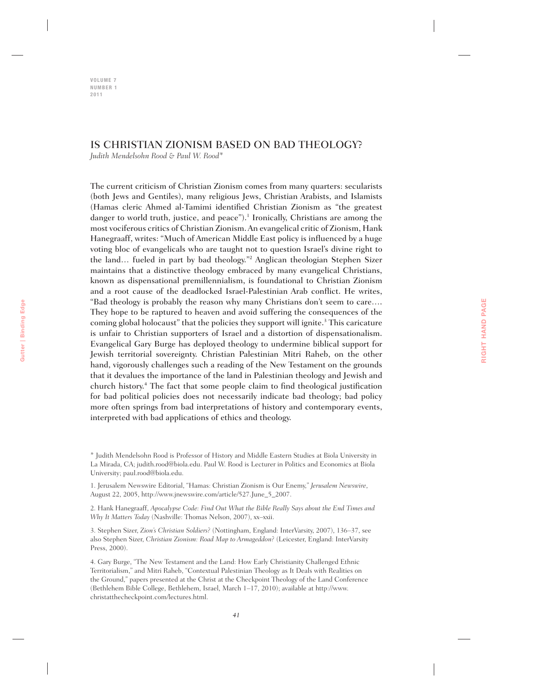**VOLUME 7 NUMBER 1 2011**

# IS CHRISTIAN ZIONISM BASED ON BAD THEOLOGY?

*Judith Mendelsohn Rood & Paul W. Rood\**

The current criticism of Christian Zionism comes from many quarters: secularists (both Jews and Gentiles), many religious Jews, Christian Arabists, and Islamists (Hamas cleric Ahmed al-Tamimi identified Christian Zionism as "the greatest danger to world truth, justice, and peace").<sup>1</sup> Ironically, Christians are among the most vociferous critics of Christian Zionism. An evangelical critic of Zionism, Hank Hanegraaff, writes: "Much of American Middle East policy is influenced by a huge voting bloc of evangelicals who are taught not to question Israel's divine right to the land… fueled in part by bad theology."2 Anglican theologian Stephen Sizer maintains that a distinctive theology embraced by many evangelical Christians, known as dispensational premillennialism, is foundational to Christian Zionism and a root cause of the deadlocked Israel-Palestinian Arab conflict. He writes, "Bad theology is probably the reason why many Christians don't seem to care…. They hope to be raptured to heaven and avoid suffering the consequences of the coming global holocaust" that the policies they support will ignite.<sup>3</sup> This caricature is unfair to Christian supporters of Israel and a distortion of dispensationalism. Evangelical Gary Burge has deployed theology to undermine biblical support for Jewish territorial sovereignty. Christian Palestinian Mitri Raheb, on the other hand, vigorously challenges such a reading of the New Testament on the grounds that it devalues the importance of the land in Palestinian theology and Jewish and church history.4 The fact that some people claim to find theological justification for bad political policies does not necessarily indicate bad theology; bad policy more often springs from bad interpretations of history and contemporary events, interpreted with bad applications of ethics and theology.

1. Jerusalem Newswire Editorial, "Hamas: Christian Zionism is Our Enemy," *Jerusalem Newswire*, August 22, 2005, http://www.jnewswire.com/article/527.June\_5\_2007.

2. Hank Hanegraaff, *Apocalypse Code: Find Out What the Bible Really Says about the End Times and Why It Matters Today* (Nashville: Thomas Nelson, 2007), xx–xxii.

3. Stephen Sizer, *Zion's Christian Soldiers?* (Nottingham, England: InterVarsity, 2007), 136–37, see also Stephen Sizer, *Christian Zionism: Road Map to Armageddon?* (Leicester, England: InterVarsity Press, 2000).

4. Gary Burge, "The New Testament and the Land: How Early Christianity Challenged Ethnic Territorialism," and Mitri Raheb, "Contextual Palestinian Theology as It Deals with Realities on the Ground," papers presented at the Christ at the Checkpoint Theology of the Land Conference (Bethlehem Bible College, Bethlehem, Israel, March 1–17, 2010); available at http://www. christatthecheckpoint.com/lectures.html.

<sup>\*</sup> Judith Mendelsohn Rood is Professor of History and Middle Eastern Studies at Biola University in La Mirada, CA; judith.rood@biola.edu. Paul W. Rood is Lecturer in Politics and Economics at Biola University; paul.rood@biola.edu.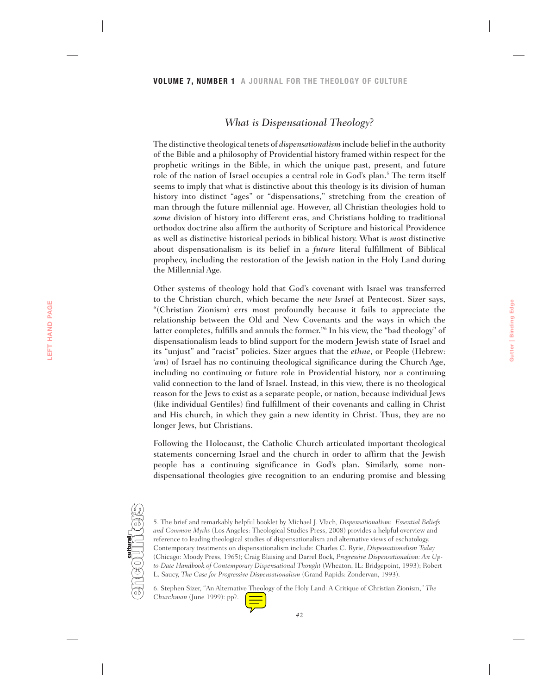# *What is Dispensational Theology?*

The distinctive theological tenets of *dispensationalism* include belief in the authority of the Bible and a philosophy of Providential history framed within respect for the prophetic writings in the Bible, in which the unique past, present, and future role of the nation of Israel occupies a central role in God's plan.<sup>5</sup> The term itself seems to imply that what is distinctive about this theology is its division of human history into distinct "ages" or "dispensations," stretching from the creation of man through the future millennial age. However, all Christian theologies hold to *some* division of history into different eras, and Christians holding to traditional orthodox doctrine also affirm the authority of Scripture and historical Providence as well as distinctive historical periods in biblical history. What is *mos*t distinctive about dispensationalism is its belief in a *future* literal fulfillment of Biblical prophecy, including the restoration of the Jewish nation in the Holy Land during the Millennial Age.

Other systems of theology hold that God's covenant with Israel was transferred to the Christian church, which became the *new Israel* at Pentecost. Sizer says, "(Christian Zionism) errs most profoundly because it fails to appreciate the relationship between the Old and New Covenants and the ways in which the latter completes, fulfills and annuls the former."6 In his view, the "bad theology" of dispensationalism leads to blind support for the modern Jewish state of Israel and its "unjust" and "racist" policies. Sizer argues that the *ethne*, or People (Hebrew: '*am*) of Israel has no continuing theological significance during the Church Age, including no continuing or future role in Providential history, nor a continuing valid connection to the land of Israel. Instead, in this view, there is no theological reason for the Jews to exist as a separate people, or nation, because individual Jews (like individual Gentiles) find fulfillment of their covenants and calling in Christ and His church, in which they gain a new identity in Christ. Thus, they are no longer Jews, but Christians.

Following the Holocaust, the Catholic Church articulated important theological statements concerning Israel and the church in order to affirm that the Jewish people has a continuing significance in God's plan. Similarly, some nondispensational theologies give recognition to an enduring promise and blessing



<sup>5.</sup> The brief and remarkably helpful booklet by Michael J. Vlach*, Dispensationalism: Essential Beliefs and Common Myths* (Los Angeles: Theological Studies Press, 2008) provides a helpful overview and reference to leading theological studies of dispensationalism and alternative views of eschatology. Contemporary treatments on dispensationalism include: Charles C. Ryrie, *Dispensationalism Today* (Chicago: Moody Press, 1965); Craig Blaising and Darrel Bock, *Progressive Dispensationalism: An Upto-Date Handbook of Contemporary Dispensational Thought* (Wheaton, IL: Bridgepoint, 1993); Robert L. Saucy, *The Case for Progressive Dispensationalism* (Grand Rapids: Zondervan, 1993).

6. Stephen Sizer, "An Alternative Theology of the Holy Land: A Critique of Christian Zionism," *The Churchman* (June 1999): pp?.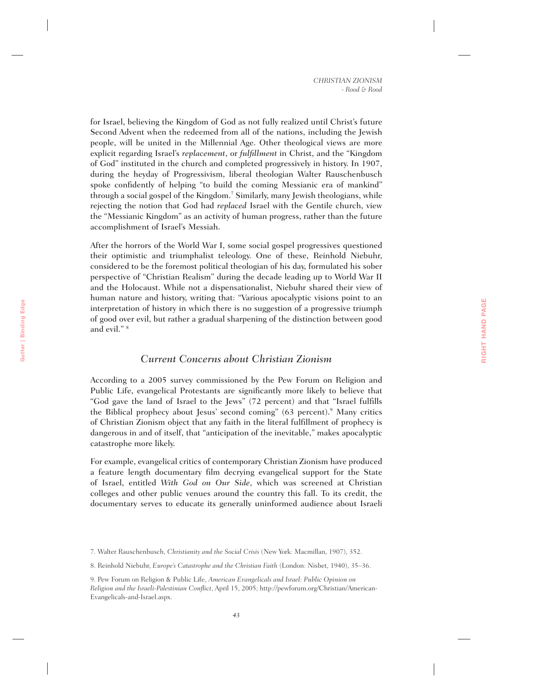for Israel, believing the Kingdom of God as not fully realized until Christ's future Second Advent when the redeemed from all of the nations, including the Jewish people, will be united in the Millennial Age. Other theological views are more explicit regarding Israel's *replacement*, or *fulfillment* in Christ, and the "Kingdom of God" instituted in the church and completed progressively in history. In 1907, during the heyday of Progressivism, liberal theologian Walter Rauschenbusch spoke confidently of helping "to build the coming Messianic era of mankind" through a social gospel of the Kingdom.<sup>7</sup> Similarly, many Jewish theologians, while rejecting the notion that God had *replaced* Israel with the Gentile church, view the "Messianic Kingdom" as an activity of human progress, rather than the future accomplishment of Israel's Messiah.

After the horrors of the World War I, some social gospel progressives questioned their optimistic and triumphalist teleology. One of these, Reinhold Niebuhr, considered to be the foremost political theologian of his day, formulated his sober perspective of "Christian Realism" during the decade leading up to World War II and the Holocaust. While not a dispensationalist, Niebuhr shared their view of human nature and history, writing that: "Various apocalyptic visions point to an interpretation of history in which there is no suggestion of a progressive triumph of good over evil, but rather a gradual sharpening of the distinction between good and evil." 8

### *Current Concerns about Christian Zionism*

According to a 2005 survey commissioned by the Pew Forum on Religion and Public Life, evangelical Protestants are significantly more likely to believe that "God gave the land of Israel to the Jews" (72 percent) and that "Israel fulfills the Biblical prophecy about Jesus' second coming" (63 percent).<sup>9</sup> Many critics of Christian Zionism object that any faith in the literal fulfillment of prophecy is dangerous in and of itself, that "anticipation of the inevitable," makes apocalyptic catastrophe more likely.

For example, evangelical critics of contemporary Christian Zionism have produced a feature length documentary film decrying evangelical support for the State of Israel, entitled *With God on Our Side*, which was screened at Christian colleges and other public venues around the country this fall. To its credit, the documentary serves to educate its generally uninformed audience about Israeli

<sup>7.</sup> Walter Rauschenbusch, *Christianity and the Social Crisis* (New York: Macmillan, 1907), 352.

<sup>8.</sup> Reinhold Niebuhr, *Europe's Catastrophe and the Christian Faith* (London: Nisbet, 1940), 35–36.

<sup>9.</sup> Pew Forum on Religion & Public Life, *American Evangelicals and Israel: Public Opinion on Religion and the Israeli-Palestinian Conflict*, April 15, 2005; http://pewforum.org/Christian/American-Evangelicals-and-Israel.aspx.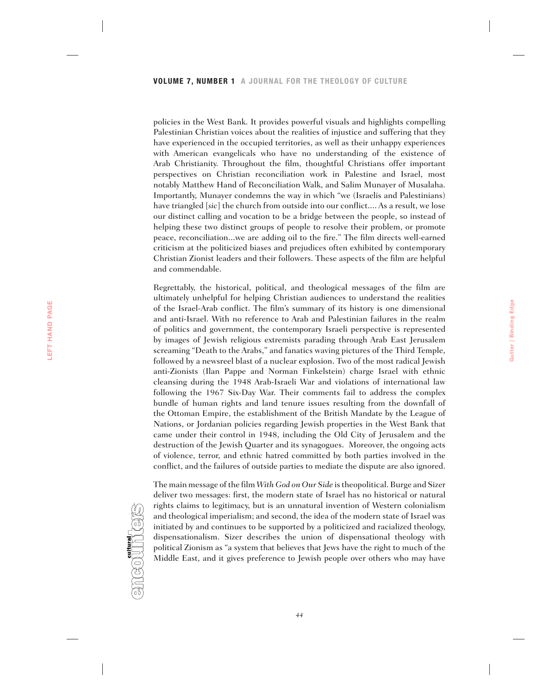policies in the West Bank. It provides powerful visuals and highlights compelling Palestinian Christian voices about the realities of injustice and suffering that they have experienced in the occupied territories, as well as their unhappy experiences with American evangelicals who have no understanding of the existence of Arab Christianity. Throughout the film, thoughtful Christians offer important perspectives on Christian reconciliation work in Palestine and Israel, most notably Matthew Hand of Reconciliation Walk, and Salim Munayer of Musalaha. Importantly, Munayer condemns the way in which "we (Israelis and Palestinians) have triangled [*sic*] the church from outside into our conflict.... As a result, we lose our distinct calling and vocation to be a bridge between the people, so instead of helping these two distinct groups of people to resolve their problem, or promote peace, reconciliation...we are adding oil to the fire." The film directs well-earned criticism at the politicized biases and prejudices often exhibited by contemporary Christian Zionist leaders and their followers. These aspects of the film are helpful and commendable.

Regrettably, the historical, political, and theological messages of the film are ultimately unhelpful for helping Christian audiences to understand the realities of the Israel-Arab conflict. The film's summary of its history is one dimensional and anti-Israel. With no reference to Arab and Palestinian failures in the realm of politics and government, the contemporary Israeli perspective is represented by images of Jewish religious extremists parading through Arab East Jerusalem screaming "Death to the Arabs," and fanatics waving pictures of the Third Temple, followed by a newsreel blast of a nuclear explosion. Two of the most radical Jewish anti-Zionists (Ilan Pappe and Norman Finkelstein) charge Israel with ethnic cleansing during the 1948 Arab-Israeli War and violations of international law following the 1967 Six-Day War. Their comments fail to address the complex bundle of human rights and land tenure issues resulting from the downfall of the Ottoman Empire, the establishment of the British Mandate by the League of Nations, or Jordanian policies regarding Jewish properties in the West Bank that came under their control in 1948, including the Old City of Jerusalem and the destruction of the Jewish Quarter and its synagogues. Moreover, the ongoing acts of violence, terror, and ethnic hatred committed by both parties involved in the conflict, and the failures of outside parties to mediate the dispute are also ignored.

**Gutter | Binding Edge**

Gutter | Binding Edge

The main message of the film *With God on Our Side* is theopolitical. Burge and Sizer deliver two messages: first, the modern state of Israel has no historical or natural rights claims to legitimacy, but is an unnatural invention of Western colonialism and theological imperialism; and second, the idea of the modern state of Israel was initiated by and continues to be supported by a politicized and racialized theology, dispensationalism. Sizer describes the union of dispensational theology with political Zionism as "a system that believes that Jews have the right to much of the Middle East, and it gives preference to Jewish people over others who may have

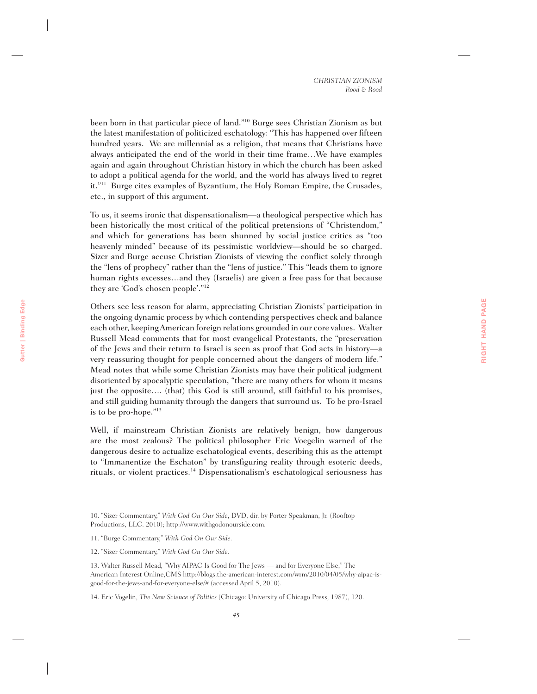been born in that particular piece of land."10 Burge sees Christian Zionism as but the latest manifestation of politicized eschatology: "This has happened over fifteen hundred years. We are millennial as a religion, that means that Christians have always anticipated the end of the world in their time frame…We have examples again and again throughout Christian history in which the church has been asked to adopt a political agenda for the world, and the world has always lived to regret it."11 Burge cites examples of Byzantium, the Holy Roman Empire, the Crusades, etc., in support of this argument.

To us, it seems ironic that dispensationalism—a theological perspective which has been historically the most critical of the political pretensions of "Christendom," and which for generations has been shunned by social justice critics as "too heavenly minded" because of its pessimistic worldview—should be so charged. Sizer and Burge accuse Christian Zionists of viewing the conflict solely through the "lens of prophecy" rather than the "lens of justice." This "leads them to ignore human rights excesses…and they (Israelis) are given a free pass for that because they are 'God's chosen people'."12

Others see less reason for alarm, appreciating Christian Zionists' participation in the ongoing dynamic process by which contending perspectives check and balance each other, keeping American foreign relations grounded in our core values. Walter Russell Mead comments that for most evangelical Protestants, the "preservation of the Jews and their return to Israel is seen as proof that God acts in history—a very reassuring thought for people concerned about the dangers of modern life." Mead notes that while some Christian Zionists may have their political judgment disoriented by apocalyptic speculation, "there are many others for whom it means just the opposite…. (that) this God is still around, still faithful to his promises, and still guiding humanity through the dangers that surround us. To be pro-Israel is to be pro-hope."13

Well, if mainstream Christian Zionists are relatively benign, how dangerous are the most zealous? The political philosopher Eric Voegelin warned of the dangerous desire to actualize eschatological events, describing this as the attempt to "Immanentize the Eschaton" by transfiguring reality through esoteric deeds, rituals, or violent practices.<sup>14</sup> Dispensationalism's eschatological seriousness has

10. "Sizer Commentary," *With God On Our Side*, DVD, dir. by Porter Speakman, Jr. (Rooftop Productions, LLC. 2010); http://www.withgodonourside.com*.*

11. "Burge Commentary," *With God On Our Side.*

**Gutter | Binding Edge**

Gutter | Binding Edge

12. "Sizer Commentary," *With God On Our Side.*

13. Walter Russell Mead*,* "Why AIPAC Is Good for The Jews — and for Everyone Else," The American Interest Online,CMS http://blogs.the-american-interest.com/wrm/2010/04/05/why-aipac-isgood-for-the-jews-and-for-everyone-else/# (accessed April 5, 2010).

14. Eric Vogelin, *The New Science of Politics* (Chicago: University of Chicago Press, 1987), 120.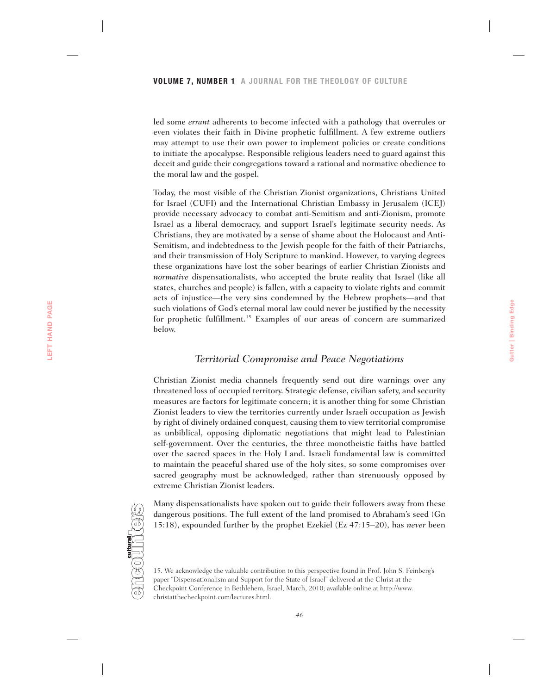led some *errant* adherents to become infected with a pathology that overrules or even violates their faith in Divine prophetic fulfillment. A few extreme outliers may attempt to use their own power to implement policies or create conditions to initiate the apocalypse. Responsible religious leaders need to guard against this deceit and guide their congregations toward a rational and normative obedience to the moral law and the gospel.

Today, the most visible of the Christian Zionist organizations, Christians United for Israel (CUFI) and the International Christian Embassy in Jerusalem (ICEJ) provide necessary advocacy to combat anti-Semitism and anti-Zionism, promote Israel as a liberal democracy, and support Israel's legitimate security needs. As Christians, they are motivated by a sense of shame about the Holocaust and Anti-Semitism, and indebtedness to the Jewish people for the faith of their Patriarchs, and their transmission of Holy Scripture to mankind. However, to varying degrees these organizations have lost the sober bearings of earlier Christian Zionists and *normative* dispensationalists, who accepted the brute reality that Israel (like all states, churches and people) is fallen, with a capacity to violate rights and commit acts of injustice—the very sins condemned by the Hebrew prophets—and that such violations of God's eternal moral law could never be justified by the necessity for prophetic fulfillment.<sup>15</sup> Examples of our areas of concern are summarized below.

### *Territorial Compromise and Peace Negotiations*

**Gutter | Binding Edge**

Gutter | Binding Edge

Christian Zionist media channels frequently send out dire warnings over any threatened loss of occupied territory. Strategic defense, civilian safety, and security measures are factors for legitimate concern; it is another thing for some Christian Zionist leaders to view the territories currently under Israeli occupation as Jewish by right of divinely ordained conquest*,* causing them to view territorial compromise as unbiblical, opposing diplomatic negotiations that might lead to Palestinian self-government. Over the centuries, the three monotheistic faiths have battled over the sacred spaces in the Holy Land. Israeli fundamental law is committed to maintain the peaceful shared use of the holy sites, so some compromises over sacred geography must be acknowledged, rather than strenuously opposed by extreme Christian Zionist leaders.

Many dispensationalists have spoken out to guide their followers away from these dangerous positions. The full extent of the land promised to Abraham's seed (Gn 15:18), expounded further by the prophet Ezekiel (Ez 47:15–20), has *never* been



#### *46*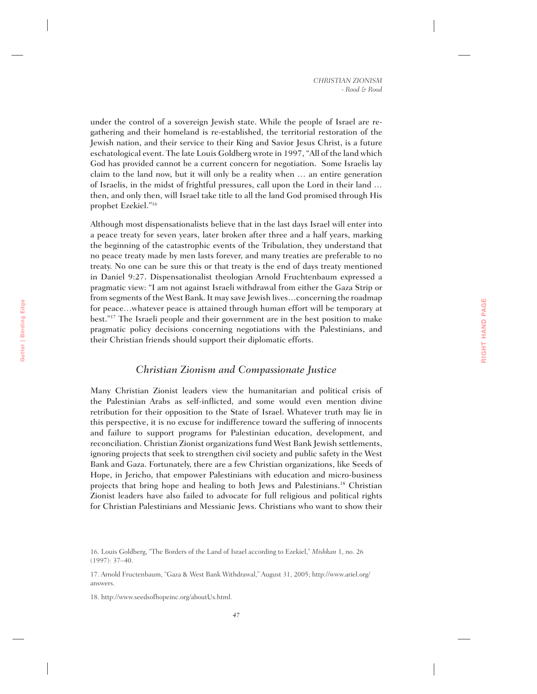under the control of a sovereign Jewish state. While the people of Israel are regathering and their homeland is re-established, the territorial restoration of the Jewish nation, and their service to their King and Savior Jesus Christ, is a future eschatological event. The late Louis Goldberg wrote in 1997, "All of the land which God has provided cannot be a current concern for negotiation. Some Israelis lay claim to the land now, but it will only be a reality when … an entire generation of Israelis, in the midst of frightful pressures, call upon the Lord in their land … then, and only then, will Israel take title to all the land God promised through His prophet Ezekiel."16

Although most dispensationalists believe that in the last days Israel will enter into a peace treaty for seven years, later broken after three and a half years, marking the beginning of the catastrophic events of the Tribulation, they understand that no peace treaty made by men lasts forever, and many treaties are preferable to no treaty. No one can be sure this or that treaty is the end of days treaty mentioned in Daniel 9:27. Dispensationalist theologian Arnold Fruchtenbaum expressed a pragmatic view: "I am not against Israeli withdrawal from either the Gaza Strip or from segments of the West Bank. It may save Jewish lives…concerning the roadmap for peace…whatever peace is attained through human effort will be temporary at best."17 The Israeli people and their government are in the best position to make pragmatic policy decisions concerning negotiations with the Palestinians, and their Christian friends should support their diplomatic efforts.

# *Christian Zionism and Compassionate Justice*

Many Christian Zionist leaders view the humanitarian and political crisis of the Palestinian Arabs as self-inflicted, and some would even mention divine retribution for their opposition to the State of Israel. Whatever truth may lie in this perspective, it is no excuse for indifference toward the suffering of innocents and failure to support programs for Palestinian education, development, and reconciliation. Christian Zionist organizations fund West Bank Jewish settlements, ignoring projects that seek to strengthen civil society and public safety in the West Bank and Gaza. Fortunately, there are a few Christian organizations, like Seeds of Hope, in Jericho, that empower Palestinians with education and micro-business projects that bring hope and healing to both Jews and Palestinians.18 Christian Zionist leaders have also failed to advocate for full religious and political rights for Christian Palestinians and Messianic Jews. Christians who want to show their

18. http://www.seedsofhopeinc.org/aboutUs.html.

<sup>16.</sup> Louis Goldberg, "The Borders of the Land of Israel according to Ezekiel," *Mishkan* 1, no. 26 (1997): 37–40.

<sup>17.</sup> Arnold Fructenbaum, "Gaza & West Bank Withdrawal," August 31, 2005; http://www.ariel.org/ answers.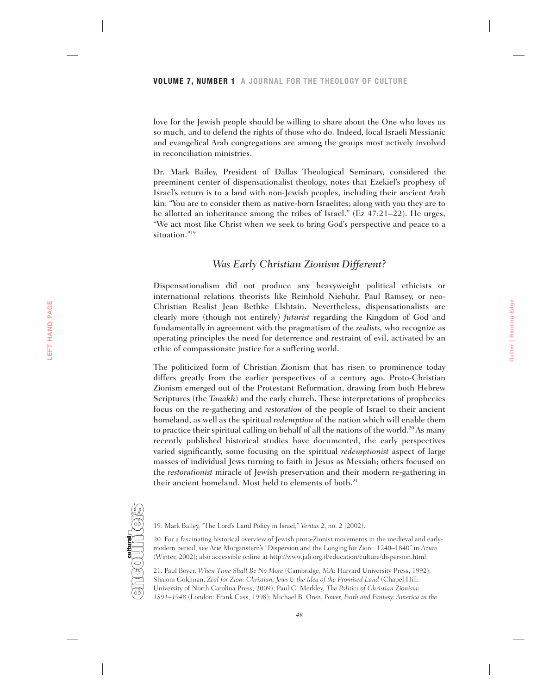love for the Jewish people should be willing to share about the One who loves us so much, and to defend the rights of those who do. Indeed, local Israeli Messianic and evangelical Arab congregations are among the groups most actively involved in reconciliation ministries.

Dr. Mark Bailey, President of Dallas Theological Seminary, considered the preeminent center of dispensationalist theology, notes that Ezekiel's prophesy of Israel's return is to a land with non-Jewish peoples, including their ancient Arab kin: "You are to consider them as native-born Israelites; along with you they are to be allotted an inheritance among the tribes of Israel." (Ez 47:21–22). He urges, "We act most like Christ when we seek to bring God's perspective and peace to a situation."19

### *Was Early Christian Zionism Different?*

Dispensationalism did not produce any heavyweight political ethicists or international relations theorists like Reinhold Niebuhr, Paul Ramsey, or neo-Christian Realist Jean Bethke Elshtain. Nevertheless, dispensationalists are clearly more (though not entirely) *futurist* regarding the Kingdom of God and fundamentally in agreement with the pragmatism of the *realists,* who recognize as operating principles the need for deterrence and restraint of evil, activated by an ethic of compassionate justice for a suffering world.

The politicized form of Christian Zionism that has risen to prominence today differs greatly from the earlier perspectives of a century ago. Proto-Christian Zionism emerged out of the Protestant Reformation, drawing from both Hebrew Scriptures (the *Tanakh*) and the early church. These interpretations of prophecies focus on the re-gathering and *restoration* of the people of Israel to their ancient homeland, as well as the spiritual *redemption* of the nation which will enable them to practice their spiritual calling on behalf of all the nations of the world.<sup>20</sup> As many recently published historical studies have documented, the early perspectives varied significantly, some focusing on the spiritual *redemptionist* aspect of large masses of individual Jews turning to faith in Jesus as Messiah; others focused on the *restorationist* miracle of Jewish preservation and their modern re-gathering in their ancient homeland. Most held to elements of both.<sup>21</sup>



**LEFT HAND PAGE**

LEFT HAND PAGE

19. Mark Bailey, "The Lord's Land Policy in Israel," *Veritas* 2, no. 2 (2002).

20. For a fascinating historical overview of Jewish proto-Zionist movements in the medieval and earlymodern period, see Arie Morganstern's "Dispersion and the Longing for Zion: 1240–1840" in *Azure* (Winter, 2002); also accessible online at http://www.jafi.org.il/education/culture/dispersion.html.

21. Paul Boyer, *When Time Shall Be No More* (Cambridge, MA: Harvard University Press, 1992); Shalom Goldman, *Zeal for Zion: Christian, Jews & the Idea of the Promised Land* (Chapel Hill: University of North Carolina Press, 2009); Paul C. Merkley, *The Politics of Christian Zionism: 1891–1948* (London: Frank Cass, 1998); Michael B. Oren, *Power, Faith and Fantasy: America in the*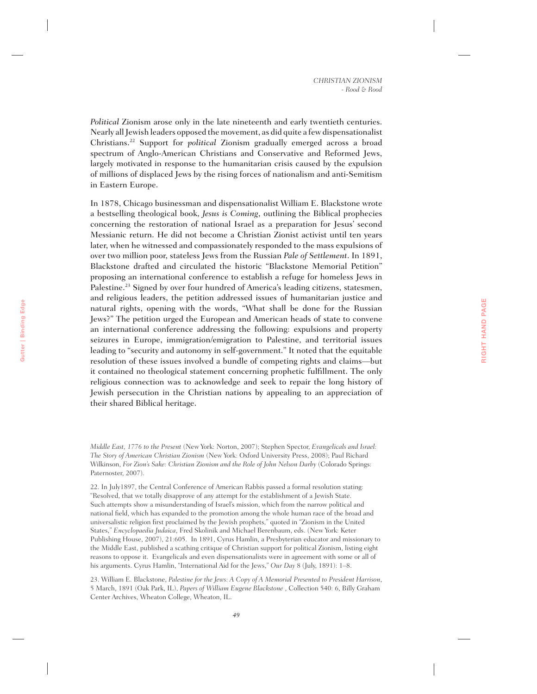*Political* Zionism arose only in the late nineteenth and early twentieth centuries. Nearly all Jewish leaders opposed the movement, as did quite a few dispensationalist Christians.22 Support for *political* Zionism gradually emerged across a broad spectrum of Anglo-American Christians and Conservative and Reformed Jews, largely motivated in response to the humanitarian crisis caused by the expulsion of millions of displaced Jews by the rising forces of nationalism and anti-Semitism in Eastern Europe.

In 1878, Chicago businessman and dispensationalist William E. Blackstone wrote a bestselling theological book, *Jesus is Coming*, outlining the Biblical prophecies concerning the restoration of national Israel as a preparation for Jesus' second Messianic return. He did not become a Christian Zionist activist until ten years later, when he witnessed and compassionately responded to the mass expulsions of over two million poor, stateless Jews from the Russian *Pale of Settlement*. In 1891, Blackstone drafted and circulated the historic "Blackstone Memorial Petition" proposing an international conference to establish a refuge for homeless Jews in Palestine.<sup>23</sup> Signed by over four hundred of America's leading citizens, statesmen, and religious leaders, the petition addressed issues of humanitarian justice and natural rights, opening with the words, "What shall be done for the Russian Jews?" The petition urged the European and American heads of state to convene an international conference addressing the following: expulsions and property seizures in Europe, immigration/emigration to Palestine, and territorial issues leading to "security and autonomy in self-government." It noted that the equitable resolution of these issues involved a bundle of competing rights and claims—but it contained no theological statement concerning prophetic fulfillment. The only religious connection was to acknowledge and seek to repair the long history of Jewish persecution in the Christian nations by appealing to an appreciation of their shared Biblical heritage.

*Middle East, 1776 to the Present* (New York: Norton, 2007); Stephen Spector, *Evangelicals and Israel: The Story of American Christian Zionism* (New York: Oxford University Press, 2008); Paul Richard Wilkinson, *For Zion's Sake: Christian Zionism and the Role of John Nelson Darby* (Colorado Springs: Paternoster, 2007).

22. In July1897, the Central Conference of American Rabbis passed a formal resolution stating: "Resolved, that we totally disapprove of any attempt for the establishment of a Jewish State. Such attempts show a misunderstanding of Israel's mission, which from the narrow political and national field, which has expanded to the promotion among the whole human race of the broad and universalistic religion first proclaimed by the Jewish prophets," quoted in "Zionism in the United States," *Encyclopaedia Judaica*, Fred Skolinik and Michael Berenbaum, eds. (New York: Keter Publishing House, 2007), 21:605. In 1891, Cyrus Hamlin, a Presbyterian educator and missionary to the Middle East, published a scathing critique of Christian support for political Zionism, listing eight reasons to oppose it. Evangelicals and even dispensationalists were in agreement with some or all of his arguments. Cyrus Hamlin, "International Aid for the Jews," *Our Day* 8 (July, 1891): 1–8.

23. William E. Blackstone, *Palestine for the Jews: A Copy of A Memorial Presented to President Harrison*, 5 March, 1891 (Oak Park, IL), *Papers of William Eugene Blackstone* , Collection 540: 6, Billy Graham Center Archives, Wheaton College, Wheaton, IL.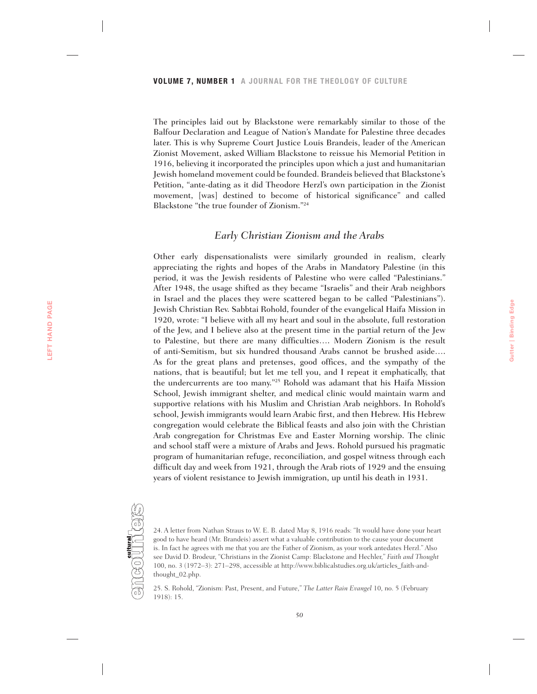The principles laid out by Blackstone were remarkably similar to those of the Balfour Declaration and League of Nation's Mandate for Palestine three decades later. This is why Supreme Court Justice Louis Brandeis, leader of the American Zionist Movement, asked William Blackstone to reissue his Memorial Petition in 1916, believing it incorporated the principles upon which a just and humanitarian Jewish homeland movement could be founded. Brandeis believed that Blackstone's Petition, "ante-dating as it did Theodore Herzl's own participation in the Zionist movement, [was] destined to become of historical significance" and called Blackstone "the true founder of Zionism."24

# *Early Christian Zionism and the Arabs*

Other early dispensationalists were similarly grounded in realism, clearly appreciating the rights and hopes of the Arabs in Mandatory Palestine (in this period, it was the Jewish residents of Palestine who were called "Palestinians." After 1948, the usage shifted as they became "Israelis" and their Arab neighbors in Israel and the places they were scattered began to be called "Palestinians"). Jewish Christian Rev. Sabbtai Rohold, founder of the evangelical Haifa Mission in 1920, wrote: "I believe with all my heart and soul in the absolute, full restoration of the Jew, and I believe also at the present time in the partial return of the Jew to Palestine, but there are many difficulties…. Modern Zionism is the result of anti-Semitism, but six hundred thousand Arabs cannot be brushed aside…. As for the great plans and pretenses, good offices, and the sympathy of the nations, that is beautiful; but let me tell you, and I repeat it emphatically, that the undercurrents are too many."25 Rohold was adamant that his Haifa Mission School, Jewish immigrant shelter, and medical clinic would maintain warm and supportive relations with his Muslim and Christian Arab neighbors. In Rohold's school, Jewish immigrants would learn Arabic first, and then Hebrew. His Hebrew congregation would celebrate the Biblical feasts and also join with the Christian Arab congregation for Christmas Eve and Easter Morning worship. The clinic and school staff were a mixture of Arabs and Jews. Rohold pursued his pragmatic program of humanitarian refuge, reconciliation, and gospel witness through each difficult day and week from 1921, through the Arab riots of 1929 and the ensuing years of violent resistance to Jewish immigration, up until his death in 1931.



24. A letter from Nathan Straus to W. E. B. dated May 8, 1916 reads: "It would have done your heart good to have heard (Mr. Brandeis) assert what a valuable contribution to the cause your document is. In fact he agrees with me that you are the Father of Zionism, as your work antedates Herzl." Also see David D. Brodeur, "Christians in the Zionist Camp: Blackstone and Hechler," *Faith and Thought* 100, no. 3 (1972–3): 271–298, accessible at http://www.biblicalstudies.org.uk/articles\_faith-andthought\_02.php.

25. S. Rohold, "Zionism: Past, Present, and Future," *The Latter Rain Evangel* 10, no. 5 (February 1918): 15.

**Gutter | Binding Edge**

Gutter | Binding Edge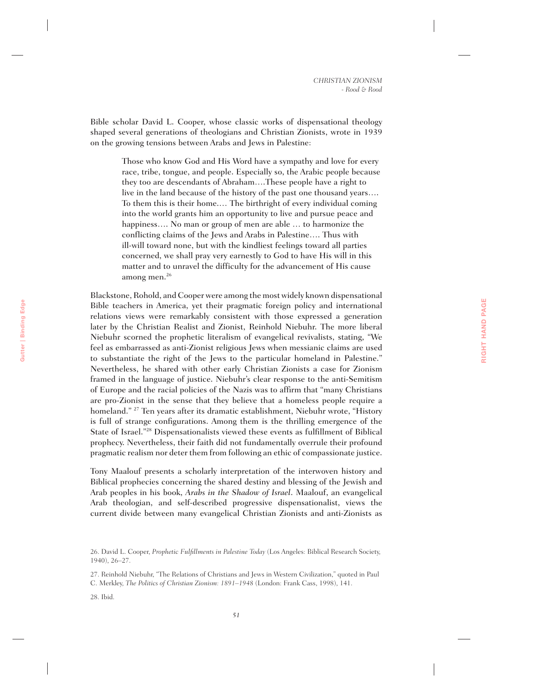**RIGHT HAND PAGE**

RIGHT HAND PAGE

Bible scholar David L. Cooper, whose classic works of dispensational theology shaped several generations of theologians and Christian Zionists, wrote in 1939 on the growing tensions between Arabs and Jews in Palestine:

> Those who know God and His Word have a sympathy and love for every race, tribe, tongue, and people. Especially so, the Arabic people because they too are descendants of Abraham….These people have a right to live in the land because of the history of the past one thousand years…. To them this is their home.… The birthright of every individual coming into the world grants him an opportunity to live and pursue peace and happiness.... No man or group of men are able ... to harmonize the conflicting claims of the Jews and Arabs in Palestine…. Thus with ill-will toward none, but with the kindliest feelings toward all parties concerned, we shall pray very earnestly to God to have His will in this matter and to unravel the difficulty for the advancement of His cause among men.<sup>26</sup>

Blackstone, Rohold, and Cooper were among the most widely known dispensational Bible teachers in America, yet their pragmatic foreign policy and international relations views were remarkably consistent with those expressed a generation later by the Christian Realist and Zionist, Reinhold Niebuhr. The more liberal Niebuhr scorned the prophetic literalism of evangelical revivalists, stating, "We feel as embarrassed as anti-Zionist religious Jews when messianic claims are used to substantiate the right of the Jews to the particular homeland in Palestine." Nevertheless, he shared with other early Christian Zionists a case for Zionism framed in the language of justice. Niebuhr's clear response to the anti-Semitism of Europe and the racial policies of the Nazis was to affirm that "many Christians are pro-Zionist in the sense that they believe that a homeless people require a homeland." 27 Ten years after its dramatic establishment, Niebuhr wrote, "History is full of strange configurations. Among them is the thrilling emergence of the State of Israel."28 Dispensationalists viewed these events as fulfillment of Biblical prophecy. Nevertheless, their faith did not fundamentally overrule their profound pragmatic realism nor deter them from following an ethic of compassionate justice.

Tony Maalouf presents a scholarly interpretation of the interwoven history and Biblical prophecies concerning the shared destiny and blessing of the Jewish and Arab peoples in his book, *Arabs in the Shadow of Israel*. Maalouf, an evangelical Arab theologian, and self-described progressive dispensationalist, views the current divide between many evangelical Christian Zionists and anti-Zionists as

27. Reinhold Niebuhr, "The Relations of Christians and Jews in Western Civilization," quoted in Paul C. Merkley, *The Politics of Christian Zionism: 1891–1948* (London: Frank Cass, 1998), 141.

28. Ibid.

<sup>26.</sup> David L. Cooper, *Prophetic Fulfillments in Palestine Today* (Los Angeles: Biblical Research Society, 1940), 26–27.